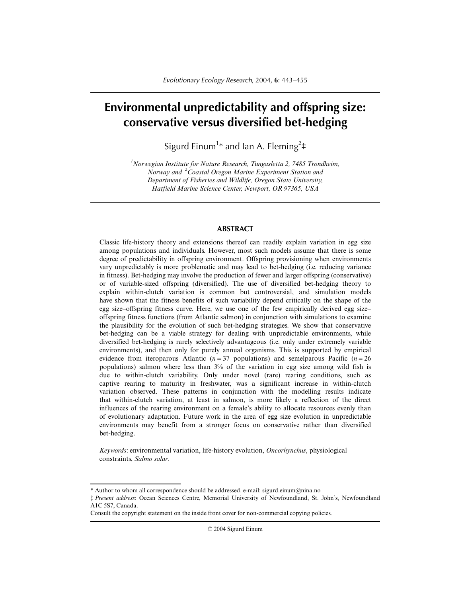# **Environmental unpredictability and offspring size: conservative versus diversified bet-hedging**

Sigurd Einum<sup>1</sup>\* and Ian A. Fleming<sup>2</sup>‡

*1 Norwegian Institute for Nature Research, Tungasletta 2, 7485 Trondheim, Norway and <sup>2</sup> Coastal Oregon Marine Experiment Station and Department of Fisheries and Wildlife, Oregon State University, Hatfield Marine Science Center, Newport, OR 97365, USA*

#### **ABSTRACT**

Classic life-history theory and extensions thereof can readily explain variation in egg size among populations and individuals. However, most such models assume that there is some degree of predictability in offspring environment. Offspring provisioning when environments vary unpredictably is more problematic and may lead to bet-hedging (i.e. reducing variance in fitness). Bet-hedging may involve the production of fewer and larger offspring (conservative) or of variable-sized offspring (diversified). The use of diversified bet-hedging theory to explain within-clutch variation is common but controversial, and simulation models have shown that the fitness benefits of such variability depend critically on the shape of the egg size–offspring fitness curve. Here, we use one of the few empirically derived egg size– offspring fitness functions (from Atlantic salmon) in conjunction with simulations to examine the plausibility for the evolution of such bet-hedging strategies. We show that conservative bet-hedging can be a viable strategy for dealing with unpredictable environments, while diversified bet-hedging is rarely selectively advantageous (i.e. only under extremely variable environments), and then only for purely annual organisms. This is supported by empirical evidence from iteroparous Atlantic ( $n = 37$  populations) and semelparous Pacific ( $n = 26$ populations) salmon where less than 3% of the variation in egg size among wild fish is due to within-clutch variability. Only under novel (rare) rearing conditions, such as captive rearing to maturity in freshwater, was a significant increase in within-clutch variation observed. These patterns in conjunction with the modelling results indicate that within-clutch variation, at least in salmon, is more likely a reflection of the direct influences of the rearing environment on a female's ability to allocate resources evenly than of evolutionary adaptation. Future work in the area of egg size evolution in unpredictable environments may benefit from a stronger focus on conservative rather than diversified bet-hedging.

*Keywords*: environmental variation, life-history evolution, *Oncorhynchus*, physiological constraints, *Salmo salar*.

© 2004 Sigurd Einum

<sup>\*</sup> Author to whom all correspondence should be addressed. e-mail: sigurd.einum@nina.no

<sup>‡</sup> *Present address*: Ocean Sciences Centre, Memorial University of Newfoundland, St. John's, Newfoundland A1C 5S7, Canada.

Consult the copyright statement on the inside front cover for non-commercial copying policies.